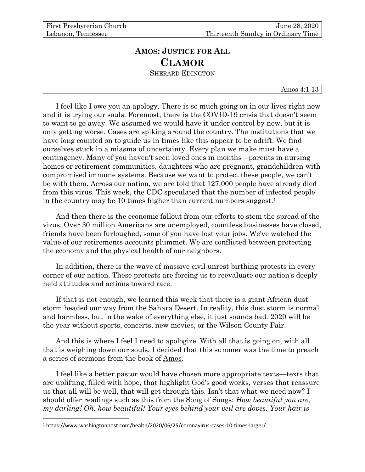## **AMOS: JUSTICE FOR ALL CLAMOR** SHERARD EDINGTON

Amos 4:1-13

I feel like I owe you an apology. There is so much going on in our lives right now and it is trying our souls. Foremost, there is the COVID-19 crisis that doesn't seem to want to go away. We assumed we would have it under control by now, but it is only getting worse. Cases are spiking around the country. The institutions that we have long counted on to guide us in times like this appear to be adrift. We find ourselves stuck in a miasma of uncertainty. Every plan we make must have a contingency. Many of you haven't seen loved ones in months—parents in nursing homes or retirement communities, daughters who are pregnant, grandchildren with compromised immune systems. Because we want to protect these people, we can't be with them. Across our nation, we are told that 127,000 people have already died from this virus. This week, the CDC speculated that the number of infected people in the country may be 10 times higher than current numbers suggest.<sup>1</sup>

And then there is the economic fallout from our efforts to stem the spread of the virus. Over 30 million Americans are unemployed, countless businesses have closed, friends have been furloughed, some of you have lost your jobs. We've watched the value of our retirements accounts plummet. We are conflicted between protecting the economy and the physical health of our neighbors.

In addition, there is the wave of massive civil unrest birthing protests in every corner of our nation. These protests are forcing us to reevaluate our nation's deeply held attitudes and actions toward race.

If that is not enough, we learned this week that there is a giant African dust storm headed our way from the Sahara Desert. In reality, this dust storm is normal and harmless, but in the wake of everything else, it just sounds bad. 2020 will be the year without sports, concerts, new movies, or the Wilson County Fair.

And this is where I feel I need to apologize. With all that is going on, with all that is weighing down our souls, I decided that this summer was the time to preach a series of sermons from the book of Amos.

I feel like a better pastor would have chosen more appropriate texts—texts that are uplifting, filled with hope, that highlight God's good works, verses that reassure us that all will be well, that will get through this. Isn't that what we need now? I should offer readings such as this from the Song of Songs: *How beautiful you are, my darling! Oh, how beautiful! Your eyes behind your veil are doves. Your hair is* 

<sup>1</sup> https://www.washingtonpost.com/health/2020/06/25/coronavirus-cases-10-times-larger/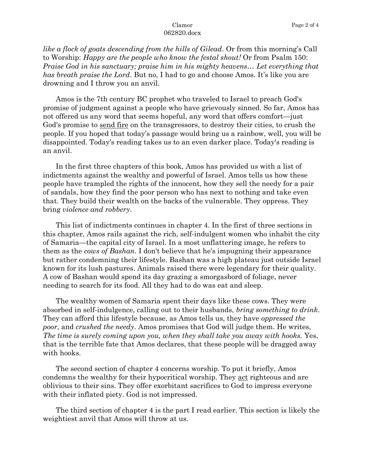*like a flock of goats descending from the hills of Gilead*. Or from this morning's Call to Worship: *Happy are the people who know the festal shout!* Or from Psalm 150: *Praise God in his sanctuary; praise him in his mighty heavens… Let everything that has breath praise the Lord*. But no, I had to go and choose Amos. It's like you are drowning and I throw you an anvil.

Amos is the 7th century BC prophet who traveled to Israel to preach God's promise of judgment against a people who have grievously sinned. So far, Amos has not offered us any word that seems hopeful, any word that offers comfort—just God's promise to send fire on the transgressors, to destroy their cities, to crush the people. If you hoped that today's passage would bring us a rainbow, well, you will be disappointed. Today's reading takes us to an even darker place. Today's reading is an anvil.

In the first three chapters of this book, Amos has provided us with a list of indictments against the wealthy and powerful of Israel. Amos tells us how these people have trampled the rights of the innocent, how they sell the needy for a pair of sandals, how they find the poor person who has next to nothing and take even that. They build their wealth on the backs of the vulnerable. They oppress. They bring *violence and robbery*.

This list of indictments continues in chapter 4. In the first of three sections in this chapter, Amos rails against the rich, self-indulgent women who inhabit the city of Samaria—the capital city of Israel. In a most unflattering image, he refers to them as the *cows of Bashan*. I don't believe that he's impugning their appearance but rather condemning their lifestyle. Bashan was a high plateau just outside Israel known for its lush pastures. Animals raised there were legendary for their quality. A cow of Bashan would spend its day grazing a smorgasbord of foliage, never needing to search for its food. All they had to do was eat and sleep.

The wealthy women of Samaria spent their days like these cows. They were absorbed in self-indulgence, calling out to their husbands, *bring something to drink*. They can afford this lifestyle because, as Amos tells us, they have *oppressed the poor*, and *crushed the needy*. Amos promises that God will judge them. He writes, *The time is surely coming upon you, when they shall take you away with hooks.* Yes, that is the terrible fate that Amos declares, that these people will be dragged away with hooks.

The second section of chapter 4 concerns worship. To put it briefly, Amos condemns the wealthy for their hypocritical worship. They act righteous and are oblivious to their sins. They offer exorbitant sacrifices to God to impress everyone with their inflated piety. God is not impressed.

The third section of chapter 4 is the part I read earlier. This section is likely the weightiest anvil that Amos will throw at us.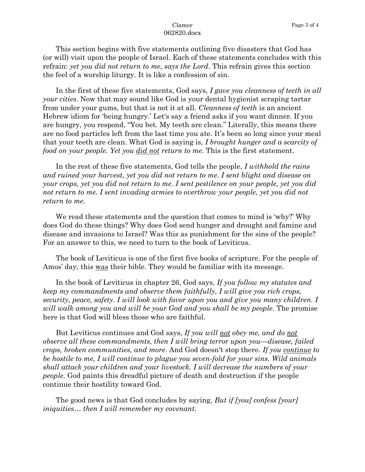This section begins with five statements outlining five disasters that God has (or will) visit upon the people of Israel. Each of these statements concludes with this refrain: *yet you did not return to me, says the Lord*. This refrain gives this section the feel of a worship liturgy. It is like a confession of sin.

In the first of these five statements, God says, *I gave you cleanness of teeth in all your cities*. Now that may sound like God is your dental hygienist scraping tartar from under your gums, but that is not it at all. *Cleanness of teeth* is an ancient Hebrew idiom for 'being hungry.' Let's say a friend asks if you want dinner. If you are hungry, you respond, "You bet. My teeth are clean." Literally, this means there are no food particles left from the last time you ate. It's been so long since your meal that your teeth are clean. What God is saying is, *I brought hunger and a scarcity of food on your people. Yet you did not return to me*. This is the first statement.

In the rest of these five statements, God tells the people, *I withhold the rains and ruined your harvest, yet you did not return to me. I sent blight and disease on your crops, yet you did not return to me. I sent pestilence on your people, yet you did not return to me. I sent invading armies to overthrow your people, yet you did not return to me.*

We read these statements and the question that comes to mind is 'why?' Why does God do these things? Why does God send hunger and drought and famine and disease and invasions to Israel? Was this as punishment for the sins of the people? For an answer to this, we need to turn to the book of Leviticus.

The book of Leviticus is one of the first five books of scripture. For the people of Amos' day, this was their bible. They would be familiar with its message.

In the book of Leviticus in chapter 26, God says, *If you follow my statutes and keep my commandments and observe them faithfully, I will give you rich crops, security, peace, safety. I will look with favor upon you and give you many children. I will walk among you and will be your God and you shall be my people.* The promise here is that God will bless those who are faithful.

But Leviticus continues and God says, *If you will not obey me, and do not observe all these commandments, then I will bring terror upon you—disease, failed crops, broken communities, and more*. And God doesn't stop there. *If you continue to be hostile to me, I will continue to plague you seven-fold for your sins. Wild animals shall attack your children and your livestock. I will decrease the numbers of your people.* God paints this dreadful picture of death and destruction if the people continue their hostility toward God.

The good news is that God concludes by saying, *But if [you] confess [your] iniquities… then I will remember my covenant.*